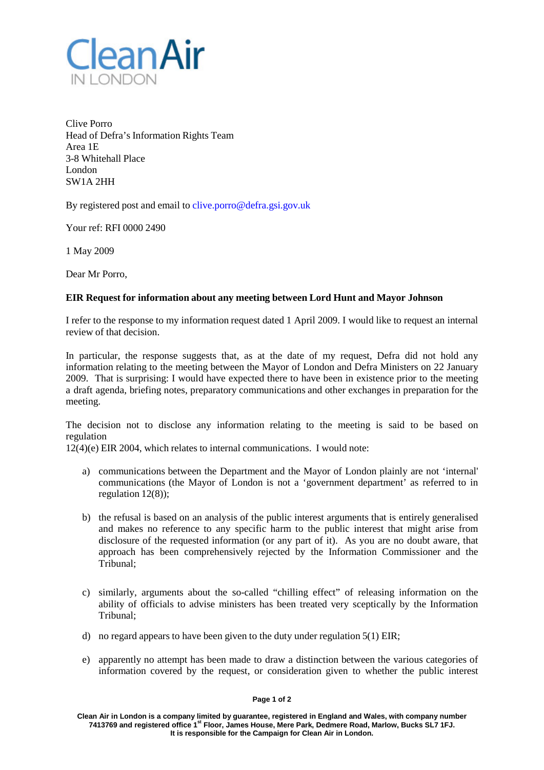

Clive Porro Head of Defra's Information Rights Team Area 1E 3-8 Whitehall Place London SW1A 2HH

By registered post and email to [clive.porro@defra.gsi.gov.uk](mailto:clive.porro@defra.gsi.gov.uk)

Your ref: RFI 0000 2490

1 May 2009

Dear Mr Porro,

## **EIR Request for information about any meeting between Lord Hunt and Mayor Johnson**

I refer to the response to my information request dated 1 April 2009. I would like to request an internal review of that decision.

In particular, the response suggests that, as at the date of my request, Defra did not hold any information relating to the meeting between the Mayor of London and Defra Ministers on 22 January 2009. That is surprising: I would have expected there to have been in existence prior to the meeting a draft agenda, briefing notes, preparatory communications and other exchanges in preparation for the meeting.

The decision not to disclose any information relating to the meeting is said to be based on regulation

12(4)(e) EIR 2004, which relates to internal communications. I would note:

- a) communications between the Department and the Mayor of London plainly are not 'internal' communications (the Mayor of London is not a 'government department' as referred to in regulation 12(8));
- b) the refusal is based on an analysis of the public interest arguments that is entirely generalised and makes no reference to any specific harm to the public interest that might arise from disclosure of the requested information (or any part of it). As you are no doubt aware, that approach has been comprehensively rejected by the Information Commissioner and the Tribunal;
- c) similarly, arguments about the so-called "chilling effect" of releasing information on the ability of officials to advise ministers has been treated very sceptically by the Information Tribunal;
- d) no regard appears to have been given to the duty under regulation 5(1) EIR;
- e) apparently no attempt has been made to draw a distinction between the various categories of information covered by the request, or consideration given to whether the public interest

## **Page 1 of 2**

**Clean Air in London is a company limited by guarantee, registered in England and Wales, with company number 7413769 and registered office 1st Floor, James House, Mere Park, Dedmere Road, Marlow, Bucks SL7 1FJ. It is responsible for the Campaign for Clean Air in London.**